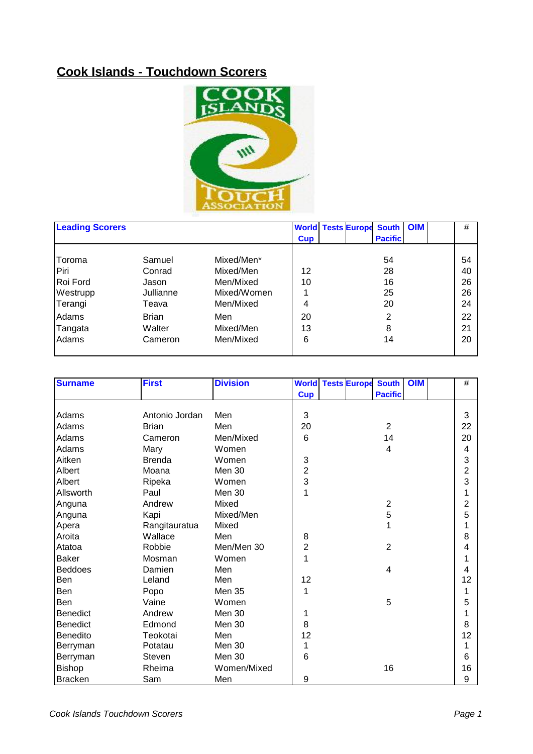## **Cook Islands - Touchdown Scorers**



| <b>Leading Scorers</b> |              |             |            |  | <b>World Tests Europe South</b> | <b>OIM</b> | #  |
|------------------------|--------------|-------------|------------|--|---------------------------------|------------|----|
|                        |              |             | <b>Cup</b> |  | <b>Pacific</b>                  |            |    |
| Toroma                 | Samuel       | Mixed/Men*  |            |  | 54                              |            | 54 |
| Piri                   | Conrad       | Mixed/Men   | 12         |  | 28                              |            | 40 |
| Roi Ford               | Jason        | Men/Mixed   | 10         |  | 16                              |            | 26 |
| Westrupp               | Jullianne    | Mixed/Women |            |  | 25                              |            | 26 |
| Terangi                | Teava        | Men/Mixed   | 4          |  | 20                              |            | 24 |
| Adams                  | <b>Brian</b> | Men         | 20         |  | 2                               |            | 22 |
| Tangata                | Walter       | Mixed/Men   | 13         |  | 8                               |            | 21 |
| Adams                  | Cameron      | Men/Mixed   | 6          |  | 14                              |            | 20 |
|                        |              |             |            |  |                                 |            |    |

| <b>Surname</b>  | <b>First</b>   | <b>Division</b> |                |  | <b>World Tests Europe South  </b> | <b>OIM</b> | $\#$                    |
|-----------------|----------------|-----------------|----------------|--|-----------------------------------|------------|-------------------------|
|                 |                |                 | <b>Cup</b>     |  | <b>Pacific</b>                    |            |                         |
|                 |                |                 |                |  |                                   |            |                         |
| Adams           | Antonio Jordan | Men             | 3              |  |                                   |            | 3                       |
| Adams           | <b>Brian</b>   | Men             | 20             |  | $\overline{2}$                    |            | 22                      |
| Adams           | Cameron        | Men/Mixed       | 6              |  | 14                                |            | 20                      |
| Adams           | Mary           | Women           |                |  | 4                                 |            | 4                       |
| Aitken          | <b>Brenda</b>  | Women           | 3              |  |                                   |            | 3                       |
| Albert          | Moana          | Men 30          | 2              |  |                                   |            | $\overline{\mathbf{c}}$ |
| Albert          | Ripeka         | Women           | 3              |  |                                   |            | 3                       |
| Allsworth       | Paul           | Men 30          | 1              |  |                                   |            | 1                       |
| Anguna          | Andrew         | Mixed           |                |  | $\overline{2}$                    |            | $\overline{\mathbf{c}}$ |
| Anguna          | Kapi           | Mixed/Men       |                |  | 5                                 |            | 5                       |
| Apera           | Rangitauratua  | Mixed           |                |  |                                   |            | 1                       |
| Aroita          | Wallace        | Men             | 8              |  |                                   |            | 8                       |
| Atatoa          | Robbie         | Men/Men 30      | $\overline{2}$ |  | $\overline{2}$                    |            | 4                       |
| <b>Baker</b>    | Mosman         | Women           | 1              |  |                                   |            | 1                       |
| <b>Beddoes</b>  | Damien         | Men             |                |  | 4                                 |            | 4                       |
| Ben             | Leland         | Men             | 12             |  |                                   |            | 12                      |
| Ben             | Popo           | Men 35          | 1              |  |                                   |            | 1                       |
| Ben             | Vaine          | Women           |                |  | 5                                 |            | 5                       |
| Benedict        | Andrew         | Men 30          | 1              |  |                                   |            | 1                       |
| <b>Benedict</b> | Edmond         | Men 30          | 8              |  |                                   |            | 8                       |
| Benedito        | Teokotai       | Men             | 12             |  |                                   |            | 12                      |
| Berryman        | Potatau        | Men 30          | 1              |  |                                   |            | 1                       |
| Berryman        | Steven         | Men 30          | 6              |  |                                   |            | 6                       |
| Bishop          | Rheima         | Women/Mixed     |                |  | 16                                |            | 16                      |
| <b>Bracken</b>  | Sam            | Men             | 9              |  |                                   |            | $\boldsymbol{9}$        |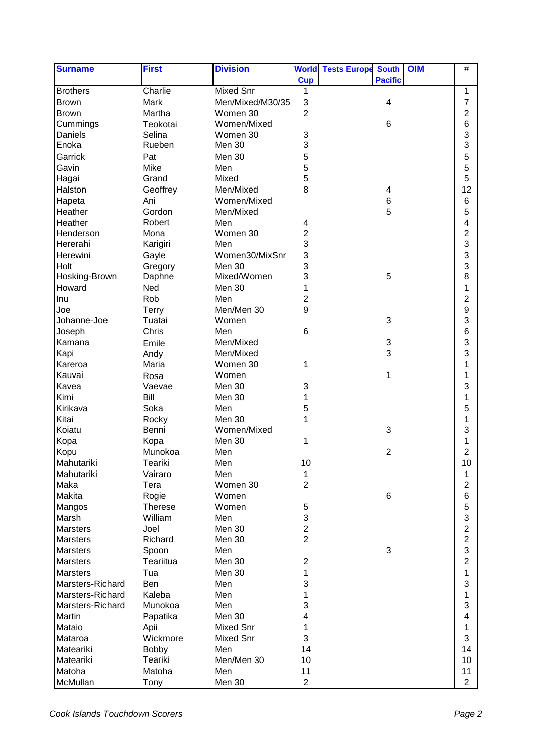| <b>Surname</b>   | <b>First</b>   | <b>Division</b>  |                | <b>World Tests Europe</b> | <b>South</b>              | <b>OIM</b> | $\#$                      |  |
|------------------|----------------|------------------|----------------|---------------------------|---------------------------|------------|---------------------------|--|
|                  |                |                  | <b>Cup</b>     |                           | <b>Pacific</b>            |            |                           |  |
| <b>Brothers</b>  | Charlie        | <b>Mixed Snr</b> | 1              |                           |                           |            | 1                         |  |
| <b>Brown</b>     | Mark           | Men/Mixed/M30/35 | $\sqrt{3}$     |                           | 4                         |            | $\overline{7}$            |  |
| <b>Brown</b>     | Martha         | Women 30         | $\overline{2}$ |                           |                           |            | 2                         |  |
| Cummings         | Teokotai       | Women/Mixed      |                |                           | 6                         |            | 6                         |  |
| Daniels          | Selina         | Women 30         | 3              |                           |                           |            | 3                         |  |
| Enoka            | Rueben         | Men 30           | 3              |                           |                           |            | 3                         |  |
| Garrick          | Pat            | Men 30           | 5              |                           |                           |            | 5                         |  |
| Gavin            | Mike           | Men              | 5              |                           |                           |            | 5                         |  |
| Hagai            | Grand          | Mixed            | 5              |                           |                           |            | 5                         |  |
| Halston          | Geoffrey       | Men/Mixed        | 8              |                           | 4                         |            | 12                        |  |
| Hapeta           | Ani            | Women/Mixed      |                |                           | $\,6$                     |            | 6                         |  |
| Heather          | Gordon         | Men/Mixed        |                |                           | 5                         |            | 5                         |  |
| Heather          | Robert         | Men              | 4              |                           |                           |            | 4                         |  |
| Henderson        | Mona           | Women 30         | $\overline{c}$ |                           |                           |            | 2                         |  |
| Hererahi         | Karigiri       | Men              | 3              |                           |                           |            | 3                         |  |
| Herewini         | Gayle          | Women30/MixSnr   | 3              |                           |                           |            | 3                         |  |
| Holt             | Gregory        | Men 30           | 3              |                           |                           |            | 3                         |  |
| Hosking-Brown    | Daphne         | Mixed/Women      | 3              |                           | 5                         |            | 8                         |  |
| Howard           | Ned            | Men 30           | 1              |                           |                           |            | 1                         |  |
| Inu              | Rob            | Men              | $\overline{c}$ |                           |                           |            | $\overline{\mathbf{c}}$   |  |
| Joe              | <b>Terry</b>   | Men/Men 30       | 9              |                           |                           |            | 9                         |  |
| Johanne-Joe      | Tuatai         | Women            |                |                           | $\sqrt{3}$                |            | 3                         |  |
| Joseph           | Chris          | Men              | $6\phantom{1}$ |                           |                           |            | 6                         |  |
| Kamana           | Emile          | Men/Mixed        |                |                           | $\ensuremath{\mathsf{3}}$ |            | 3                         |  |
| Kapi             | Andy           | Men/Mixed        |                |                           | 3                         |            | 3                         |  |
| Kareroa          | Maria          | Women 30         | 1              |                           |                           |            | 1                         |  |
| Kauvai           | Rosa           | Women            |                |                           | 1                         |            | 1                         |  |
| Kavea            | Vaevae         | Men 30           | 3              |                           |                           |            | 3                         |  |
| Kimi             | Bill           | Men 30           | 1              |                           |                           |            | 1                         |  |
| Kirikava         | Soka           | Men              | 5              |                           |                           |            | 5                         |  |
| Kitai            | Rocky          | Men 30           | 1              |                           |                           |            | 1                         |  |
| Koiatu           | Benni          | Women/Mixed      |                |                           | 3                         |            | 3                         |  |
| Kopa             | Kopa           | Men 30           | 1              |                           |                           |            | 1                         |  |
| Kopu             | Munokoa        | Men              |                |                           | $\overline{2}$            |            | 2                         |  |
| Mahutariki       | Teariki        | Men              | 10             |                           |                           |            | 10                        |  |
| Mahutariki       | Vairaro        | Men              | 1              |                           |                           |            | 1                         |  |
| Maka             | Tera           | Women 30         | $\overline{c}$ |                           |                           |            | 2                         |  |
| Makita           | Rogie          | Women            |                |                           | 6                         |            | 6                         |  |
| Mangos           | <b>Therese</b> | Women            | $\,$ 5 $\,$    |                           |                           |            | 5                         |  |
| Marsh            | William        | Men              | 3              |                           |                           |            | $\ensuremath{\mathsf{3}}$ |  |
| Marsters         | Joel           | Men 30           | $\overline{c}$ |                           |                           |            | $\overline{\mathbf{c}}$   |  |
| <b>Marsters</b>  | Richard        | Men 30           | $\overline{2}$ |                           |                           |            | $\overline{c}$            |  |
| <b>Marsters</b>  | Spoon          | Men              |                |                           | $\mathfrak{B}$            |            | $\mathsf 3$               |  |
| <b>Marsters</b>  | Teariitua      | Men 30           | $\overline{2}$ |                           |                           |            | $\overline{\mathbf{c}}$   |  |
| Marsters         | Tua            | Men 30           | $\mathbf 1$    |                           |                           |            | 1                         |  |
| Marsters-Richard | Ben            | Men              | 3              |                           |                           |            | 3                         |  |
| Marsters-Richard | Kaleba         | Men              | 1              |                           |                           |            | 1                         |  |
| Marsters-Richard | Munokoa        | Men              | 3              |                           |                           |            | 3                         |  |
|                  |                |                  |                |                           |                           |            | 4                         |  |
| Martin           | Papatika       | Men 30           | 4              |                           |                           |            |                           |  |
| Mataio           | Apii           | Mixed Snr        | 1              |                           |                           |            | 1                         |  |
| Mataroa          | Wickmore       | Mixed Snr        | 3              |                           |                           |            | 3                         |  |
| Mateariki        | Bobby          | Men              | 14             |                           |                           |            | 14                        |  |
| Mateariki        | Teariki        | Men/Men 30       | 10             |                           |                           |            | 10                        |  |
| Matoha           | Matoha         | Men              | 11             |                           |                           |            | 11                        |  |
| McMullan         | Tony           | Men 30           | $\overline{2}$ |                           |                           |            | $\overline{2}$            |  |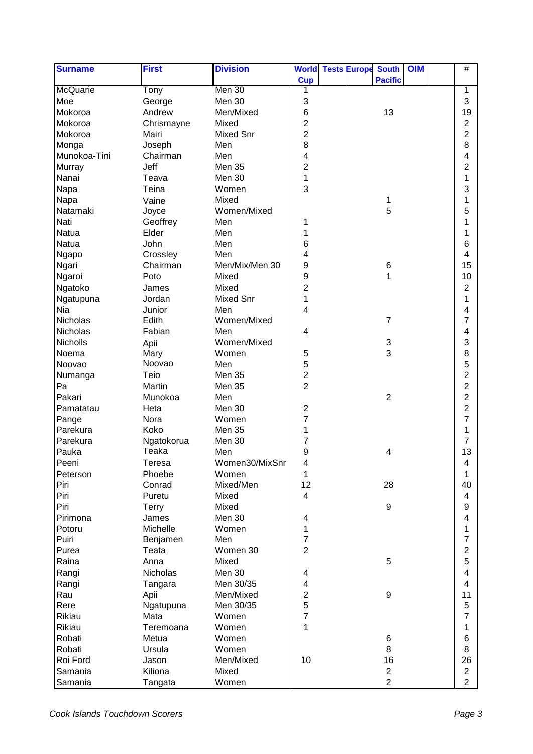| <b>Surname</b>  | <b>First</b> | <b>Division</b>  |                | <b>World Tests Europe</b> | <b>South</b>              | <b>OIM</b> | $\#$                    |
|-----------------|--------------|------------------|----------------|---------------------------|---------------------------|------------|-------------------------|
|                 |              |                  | <b>Cup</b>     |                           | <b>Pacific</b>            |            |                         |
| <b>McQuarie</b> | Tony         | Men 30           | 1              |                           |                           |            | 1                       |
| Moe             | George       | Men 30           | 3              |                           |                           |            | 3                       |
| Mokoroa         | Andrew       | Men/Mixed        | $\,6$          |                           | 13                        |            | 19                      |
| Mokoroa         | Chrismayne   | Mixed            | $\overline{2}$ |                           |                           |            | $\overline{c}$          |
| Mokoroa         | Mairi        | <b>Mixed Snr</b> | $\overline{2}$ |                           |                           |            | $\overline{\mathbf{c}}$ |
| Monga           | Joseph       | Men              | 8              |                           |                           |            | 8                       |
| Munokoa-Tini    | Chairman     | Men              | 4              |                           |                           |            | 4                       |
| Murray          | Jeff         | <b>Men 35</b>    | $\overline{2}$ |                           |                           |            | $\overline{c}$          |
| Nanai           | Teava        | Men 30           | 1              |                           |                           |            | 1                       |
| Napa            | Teina        | Women            | 3              |                           |                           |            | 3                       |
| Napa            | Vaine        | Mixed            |                |                           | 1                         |            | 1                       |
| Natamaki        | Joyce        | Women/Mixed      |                |                           | 5                         |            | 5                       |
| Nati            | Geoffrey     | Men              | 1              |                           |                           |            | 1                       |
| Natua           | Elder        | Men              | 1              |                           |                           |            | 1                       |
| Natua           | John         | Men              | 6              |                           |                           |            | 6                       |
| Ngapo           | Crossley     | Men              | 4              |                           |                           |            | 4                       |
| Ngari           | Chairman     | Men/Mix/Men 30   | 9              |                           | 6                         |            | 15                      |
| Ngaroi          | Poto         | Mixed            | 9              |                           | 1                         |            | 10                      |
| Ngatoko         | James        | Mixed            | $\overline{2}$ |                           |                           |            | $\overline{2}$          |
| Ngatupuna       | Jordan       | <b>Mixed Snr</b> | $\mathbf 1$    |                           |                           |            | 1                       |
| Nia             | Junior       | Men              | 4              |                           |                           |            | 4                       |
| Nicholas        | Edith        | Women/Mixed      |                |                           | $\overline{7}$            |            | 7                       |
| Nicholas        | Fabian       | Men              | 4              |                           |                           |            | 4                       |
| Nicholls        | Apii         | Women/Mixed      |                |                           | $\ensuremath{\mathsf{3}}$ |            | 3                       |
| Noema           | Mary         | Women            | 5              |                           | 3                         |            | 8                       |
| Noovao          | Noovao       | Men              | 5              |                           |                           |            | 5                       |
| Numanga         | Teio         | <b>Men 35</b>    | $\overline{2}$ |                           |                           |            | $\overline{c}$          |
| Pa              | Martin       | Men 35           | $\overline{2}$ |                           |                           |            | $\overline{2}$          |
| Pakari          | Munokoa      | Men              |                |                           | $\overline{2}$            |            | $\overline{c}$          |
| Pamatatau       | Heta         | Men 30           | $\overline{c}$ |                           |                           |            | $\overline{\mathbf{c}}$ |
| Pange           | Nora         | Women            | $\overline{7}$ |                           |                           |            | 7                       |
| Parekura        | Koko         | Men 35           | 1              |                           |                           |            | 1                       |
| Parekura        | Ngatokorua   | Men 30           | 7              |                           |                           |            | 7                       |
| Pauka           | Teaka        | Men              | 9              |                           | 4                         |            | 13                      |
| Peeni           | Teresa       | Women30/MixSnr   | 4              |                           |                           |            | $\overline{4}$          |
| Peterson        | Phoebe       | Women            | 1              |                           |                           |            | 1                       |
| Piri            | Conrad       | Mixed/Men        | 12             |                           | 28                        |            | 40                      |
| Piri            | Puretu       | Mixed            | $\overline{4}$ |                           |                           |            | 4                       |
| Piri            | <b>Terry</b> | Mixed            |                |                           | $\boldsymbol{9}$          |            | 9                       |
| Pirimona        | James        | Men 30           | 4              |                           |                           |            | 4                       |
| Potoru          | Michelle     | Women            | $\mathbf{1}$   |                           |                           |            | 1                       |
| Puiri           | Benjamen     | Men              | $\overline{7}$ |                           |                           |            | $\overline{7}$          |
| Purea           | Teata        | Women 30         | $\overline{2}$ |                           |                           |            | $\overline{c}$          |
| Raina           | Anna         | Mixed            |                |                           | 5                         |            | 5                       |
| Rangi           | Nicholas     | Men 30           | 4              |                           |                           |            | 4                       |
| Rangi           | Tangara      | Men 30/35        | 4              |                           |                           |            | 4                       |
| Rau             | Apii         | Men/Mixed        | $\overline{c}$ |                           | 9                         |            | 11                      |
| Rere            | Ngatupuna    | Men 30/35        | 5              |                           |                           |            | 5                       |
| Rikiau          | Mata         | Women            | $\overline{7}$ |                           |                           |            | $\overline{7}$          |
| Rikiau          | Teremoana    | Women            | $\mathbf{1}$   |                           |                           |            | 1                       |
| Robati          | Metua        | Women            |                |                           |                           |            | 6                       |
| Robati          |              | Women            |                |                           | 6<br>8                    |            | 8                       |
| Roi Ford        | Ursula       |                  | 10             |                           |                           |            | 26                      |
|                 | Jason        | Men/Mixed        |                |                           | 16                        |            |                         |
| Samania         | Kiliona      | Mixed            |                |                           | $\overline{2}$            |            | $\overline{2}$          |
| Samania         | Tangata      | Women            |                |                           | $\overline{2}$            |            | $\overline{2}$          |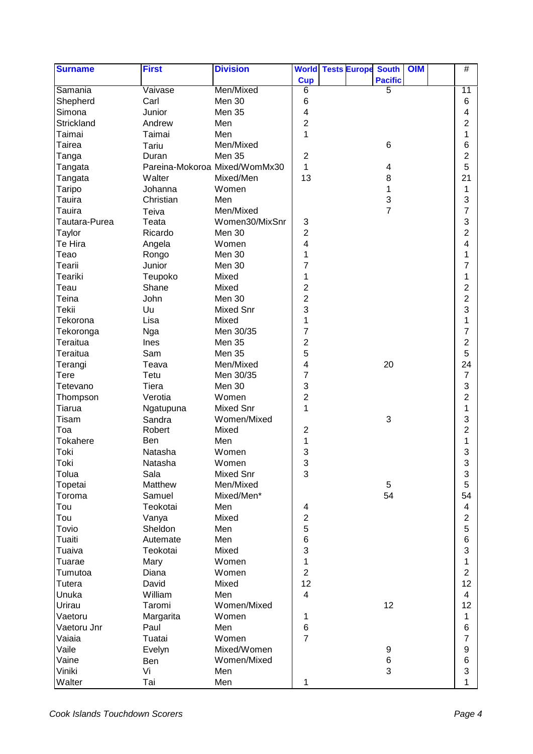| <b>Surname</b>   | <b>First</b>       | <b>Division</b>               |                         |  | <b>World Tests Europe South</b> | <b>OIM</b> | #                              |
|------------------|--------------------|-------------------------------|-------------------------|--|---------------------------------|------------|--------------------------------|
|                  |                    |                               | <b>Cup</b>              |  | <b>Pacific</b>                  |            |                                |
| Samania          | Vaivase            | Men/Mixed                     | $\overline{6}$          |  | 5                               |            | 11                             |
| Shepherd         | Carl               | Men 30                        | 6                       |  |                                 |            | 6                              |
| Simona           | Junior             | Men 35                        | 4                       |  |                                 |            | 4                              |
| Strickland       | Andrew             | Men                           | $\overline{2}$          |  |                                 |            | 2                              |
| Taimai           | Taimai             | Men                           | $\mathbf 1$             |  |                                 |            | 1                              |
| Tairea           | Tariu              | Men/Mixed                     |                         |  | 6                               |            | 6                              |
| Tanga            | Duran              | Men 35                        | $\overline{2}$          |  |                                 |            | 2                              |
| Tangata          |                    | Pareina-Mokoroa Mixed/WomMx30 | 1                       |  | 4                               |            | 5                              |
| Tangata          | Walter             | Mixed/Men                     | 13                      |  | 8                               |            | 21                             |
| Taripo           | Johanna            | Women                         |                         |  | 1                               |            | 1                              |
| Tauira           | Christian          | Men                           |                         |  | 3                               |            | 3                              |
| Tauira           | Teiva              | Men/Mixed                     |                         |  | $\overline{7}$                  |            | $\overline{7}$                 |
| Tautara-Purea    | Teata              | Women30/MixSnr                | 3                       |  |                                 |            | 3                              |
| Taylor           | Ricardo            | Men 30                        | $\overline{\mathbf{c}}$ |  |                                 |            | $\overline{\mathbf{c}}$        |
| Te Hira          | Angela             | Women                         | 4                       |  |                                 |            | 4                              |
| Teao             | Rongo              | Men 30                        | 1                       |  |                                 |            | 1                              |
| Tearii           | Junior             | Men 30                        | $\overline{7}$          |  |                                 |            | $\overline{7}$                 |
| Teariki          | Teupoko            | Mixed                         | 1                       |  |                                 |            | 1                              |
| Teau             | Shane              | Mixed                         | $\overline{2}$          |  |                                 |            | 2                              |
| Teina            | John               | Men 30                        | $\overline{2}$          |  |                                 |            | $\overline{c}$                 |
| Tekii            | Uu                 | <b>Mixed Snr</b>              | 3                       |  |                                 |            | 3                              |
| Tekorona         | Lisa               | Mixed                         | 1                       |  |                                 |            | 1                              |
| Tekoronga        | Nga                | Men 30/35                     | $\overline{7}$          |  |                                 |            | $\overline{7}$                 |
| Teraitua         | Ines               | Men 35                        | $\overline{2}$          |  |                                 |            | $\overline{\mathbf{c}}$        |
| Teraitua         | Sam                | Men 35                        | 5                       |  |                                 |            | 5                              |
| Terangi          | Teava              | Men/Mixed                     | 4                       |  | 20                              |            | 24                             |
| <b>Tere</b>      | Tetu               | Men 30/35                     | $\overline{7}$          |  |                                 |            | $\overline{7}$                 |
| Tetevano         | Tiera              | Men 30                        | 3                       |  |                                 |            | 3                              |
| Thompson         | Verotia            | Women                         | $\overline{2}$          |  |                                 |            | $\overline{\mathbf{c}}$        |
| Tiarua           | Ngatupuna          | <b>Mixed Snr</b>              | 1                       |  |                                 |            | 1                              |
| Tisam            | Sandra             | Women/Mixed                   |                         |  | $\ensuremath{\mathsf{3}}$       |            | 3                              |
| Toa              | Robert             | Mixed                         | $\boldsymbol{2}$        |  |                                 |            | $\overline{\mathbf{c}}$        |
| Tokahere         | Ben                | Men                           | 1                       |  |                                 |            | 1                              |
| Toki             | Natasha            | Women                         | 3                       |  |                                 |            | 3                              |
| Toki             |                    |                               | Ç                       |  |                                 |            | $\mathbf{\Omega}$              |
| Tolua            | Natasha<br>Sala    | Women<br><b>Mixed Snr</b>     | پ<br>3                  |  |                                 |            | J<br>$\ensuremath{\mathsf{3}}$ |
| Topetai          | Matthew            | Men/Mixed                     |                         |  | $\sqrt{5}$                      |            | 5                              |
|                  |                    |                               |                         |  | 54                              |            | 54                             |
| Toroma<br>Tou    | Samuel<br>Teokotai | Mixed/Men*<br>Men             |                         |  |                                 |            | 4                              |
| Tou              |                    | Mixed                         | 4<br>$\overline{2}$     |  |                                 |            | $\overline{c}$                 |
| Tovio            | Vanya<br>Sheldon   | Men                           | 5                       |  |                                 |            | 5                              |
|                  |                    | Men                           | 6                       |  |                                 |            | $\,6$                          |
| Tuaiti           | Autemate           |                               | 3                       |  |                                 |            |                                |
| Tuaiva<br>Tuarae | Teokotai           | Mixed                         | 1                       |  |                                 |            | 3<br>1                         |
|                  | Mary               | Women                         | $\overline{2}$          |  |                                 |            | $\overline{2}$                 |
| Tumutoa          | Diana              | Women                         |                         |  |                                 |            |                                |
| Tutera           | David              | Mixed                         | 12                      |  |                                 |            | 12                             |
| Unuka            | William            | Men                           | $\overline{4}$          |  |                                 |            | $\overline{4}$                 |
| Urirau           | Taromi             | Women/Mixed                   |                         |  | 12                              |            | 12                             |
| Vaetoru          | Margarita          | Women                         | 1                       |  |                                 |            | 1                              |
| Vaetoru Jnr      | Paul               | Men                           | $\,6$                   |  |                                 |            | $\,6$                          |
| Vaiaia           | Tuatai             | Women                         | $\overline{7}$          |  |                                 |            | $\overline{7}$                 |
| Vaile            | Evelyn             | Mixed/Women                   |                         |  | 9                               |            | $\boldsymbol{9}$               |
| Vaine            | Ben                | Women/Mixed                   |                         |  | 6                               |            | 6                              |
| Viniki           | Vi                 | Men                           |                         |  | 3                               |            | $\ensuremath{\mathsf{3}}$      |
| Walter           | Tai                | Men                           | 1                       |  |                                 |            | 1                              |